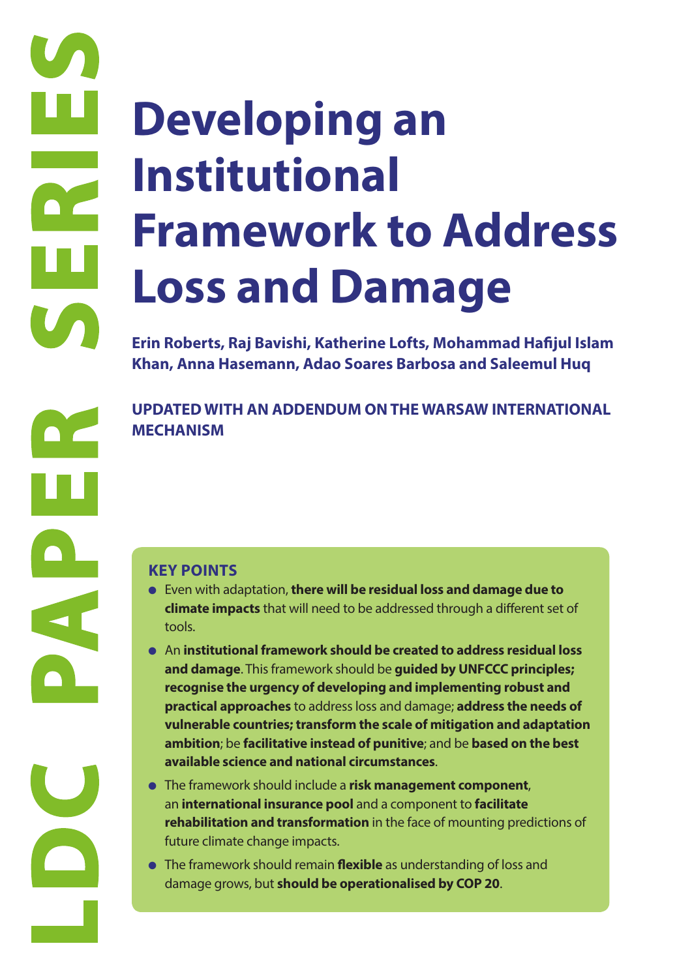# **LOSS**<br> **LOSS**<br> **ETRING PAPER SERIES AND ARTICLE SERIES AND ARTICLE SERIES AND MECHANISM**<br> **REFERENCES AND MECHANISM**<br> **CEY POINTS**<br> **EVER WITH SERIES AND MECHANISM**<br> **CEY POINTS**<br> **EVER WITH SERIES AND MECHANISM**<br> **CEY PO Developing an Institutional Framework to Address Loss and Damage**

**Erin Roberts, Raj Bavishi, Katherine Lofts, Mohammad Hafijul Islam Khan, Anna Hasemann, Adao Soares Barbosa and Saleemul Huq**

**UPDATED WITH AN ADDENDUM ON THE WARSAW INTERNATIONAL MECHANISM**

- Even with adaptation, **there will be residual loss and damage due to climate impacts** that will need to be addressed through a different set of tools.
- An **institutional framework should be created to address residual loss and damage**. This framework should be **guided by UNFCCC principles; recognise the urgency of developing and implementing robust and practical approaches** to address loss and damage; **address the needs of vulnerable countries; transform the scale of mitigation and adaptation ambition**; be **facilitative instead of punitive**; and be **based on the best available science and national circumstances**.
- The framework should include a **risk management component**, an **international insurance pool** and a component to **facilitate rehabilitation and transformation** in the face of mounting predictions of future climate change impacts.
- The framework should remain **flexible** as understanding of loss and damage grows, but **should be operationalised by COP 20**.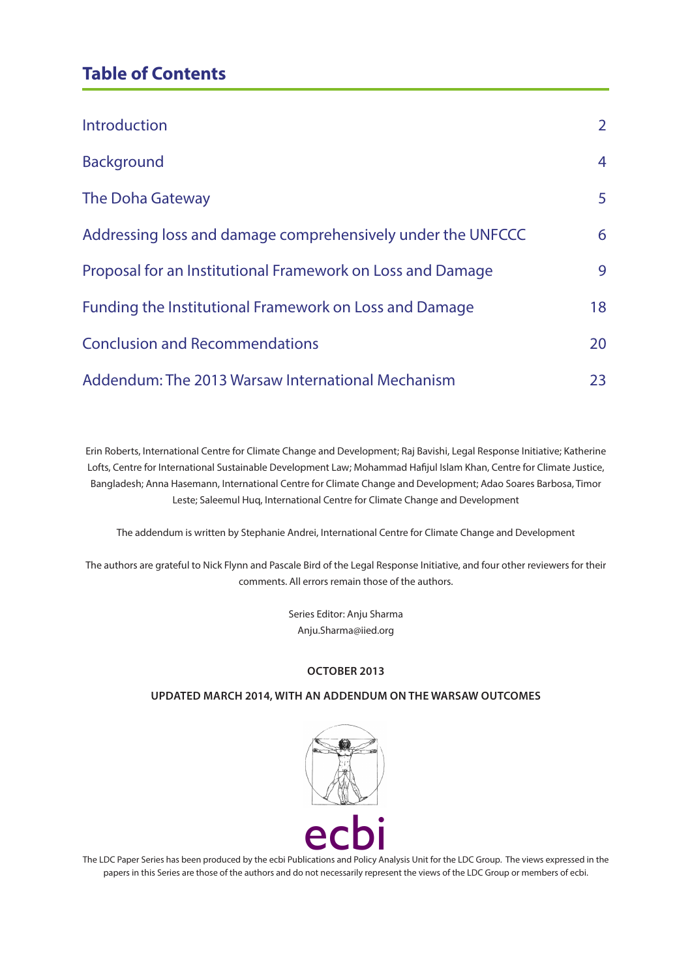# **Table of Contents**

| <b>Introduction</b>                                         | $\overline{2}$ |
|-------------------------------------------------------------|----------------|
| <b>Background</b>                                           | 4              |
| <b>The Doha Gateway</b>                                     | 5              |
| Addressing loss and damage comprehensively under the UNFCCC | 6              |
| Proposal for an Institutional Framework on Loss and Damage  | 9              |
| Funding the Institutional Framework on Loss and Damage      | 18             |
| <b>Conclusion and Recommendations</b>                       | 20             |
| Addendum: The 2013 Warsaw International Mechanism           | 23             |

Erin Roberts, International Centre for Climate Change and Development; Raj Bavishi, Legal Response Initiative; Katherine Lofts, Centre for International Sustainable Development Law; Mohammad Hafijul Islam Khan, Centre for Climate Justice, Bangladesh; Anna Hasemann, International Centre for Climate Change and Development; Adao Soares Barbosa, Timor Leste; Saleemul Huq, International Centre for Climate Change and Development

The addendum is written by Stephanie Andrei, International Centre for Climate Change and Development

The authors are grateful to Nick Flynn and Pascale Bird of the Legal Response Initiative, and four other reviewers for their comments. All errors remain those of the authors.

> Series Editor: Anju Sharma Anju.Sharma@iied.org

#### **OCTOBER 2013**

#### **UPDATED MARCH 2014, WITH AN ADDENDUM ON THE WARSAW OUTCOMES**



The LDC Paper Series has been produced by the ecbi Publications and Policy Analysis Unit for the LDC Group. The views expressed in the papers in this Series are those of the authors and do not necessarily represent the views of the LDC Group or members of ecbi.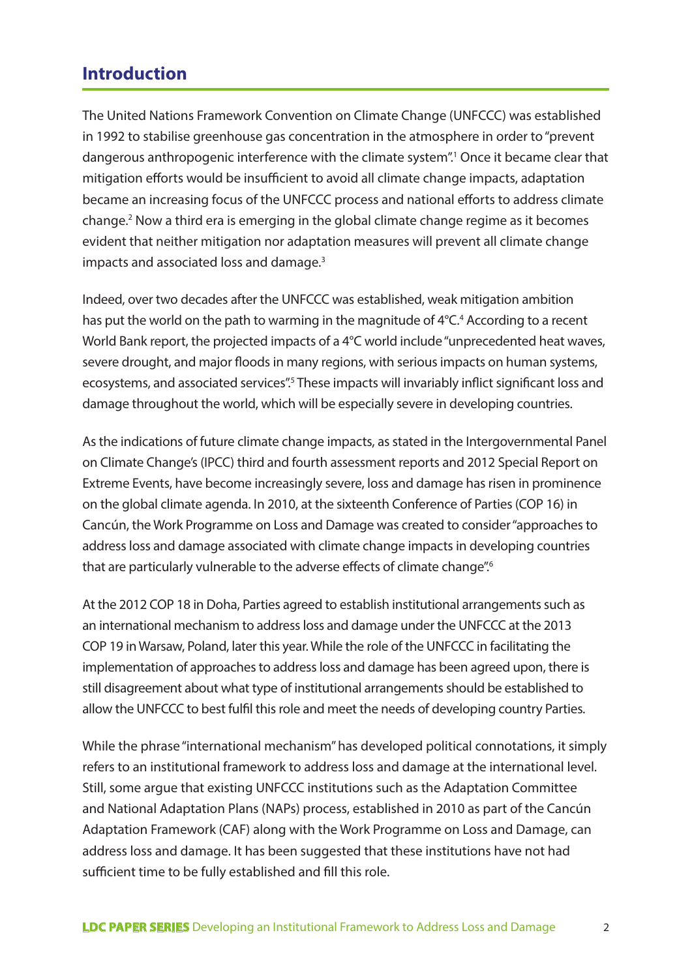# **Introduction**

The United Nations Framework Convention on Climate Change (UNFCCC) was established in 1992 to stabilise greenhouse gas concentration in the atmosphere in order to "prevent dangerous anthropogenic interference with the climate system".<sup>1</sup> Once it became clear that mitigation efforts would be insufficient to avoid all climate change impacts, adaptation became an increasing focus of the UNFCCC process and national efforts to address climate change.<sup>2</sup> Now a third era is emerging in the global climate change regime as it becomes evident that neither mitigation nor adaptation measures will prevent all climate change impacts and associated loss and damage.3

Indeed, over two decades after the UNFCCC was established, weak mitigation ambition has put the world on the path to warming in the magnitude of 4°C.<sup>4</sup> According to a recent World Bank report, the projected impacts of a 4°C world include "unprecedented heat waves, severe drought, and major floods in many regions, with serious impacts on human systems, ecosystems, and associated services". These impacts will invariably inflict significant loss and damage throughout the world, which will be especially severe in developing countries.

As the indications of future climate change impacts, as stated in the Intergovernmental Panel on Climate Change's (IPCC) third and fourth assessment reports and 2012 Special Report on Extreme Events, have become increasingly severe, loss and damage has risen in prominence on the global climate agenda. In 2010, at the sixteenth Conference of Parties (COP 16) in Cancún, the Work Programme on Loss and Damage was created to consider "approaches to address loss and damage associated with climate change impacts in developing countries that are particularly vulnerable to the adverse effects of climate change".<sup>6</sup>

At the 2012 COP 18 in Doha, Parties agreed to establish institutional arrangements such as an international mechanism to address loss and damage under the UNFCCC at the 2013 COP 19 in Warsaw, Poland, later this year. While the role of the UNFCCC in facilitating the implementation of approaches to address loss and damage has been agreed upon, there is still disagreement about what type of institutional arrangements should be established to allow the UNFCCC to best fulfil this role and meet the needs of developing country Parties.

While the phrase "international mechanism" has developed political connotations, it simply refers to an institutional framework to address loss and damage at the international level. Still, some argue that existing UNFCCC institutions such as the Adaptation Committee and National Adaptation Plans (NAPs) process, established in 2010 as part of the Cancún Adaptation Framework (CAF) along with the Work Programme on Loss and Damage, can address loss and damage. It has been suggested that these institutions have not had sufficient time to be fully established and fill this role.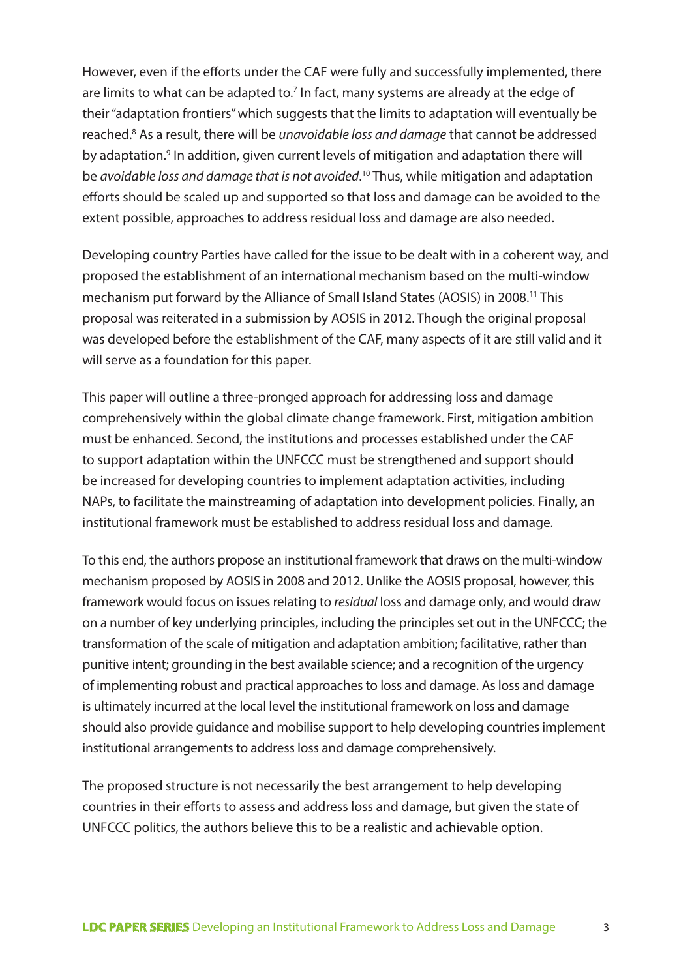However, even if the efforts under the CAF were fully and successfully implemented, there are limits to what can be adapted to.<sup>7</sup> In fact, many systems are already at the edge of their "adaptation frontiers" which suggests that the limits to adaptation will eventually be reached.<sup>8</sup> As a result, there will be *unavoidable loss and damage* that cannot be addressed by adaptation.<sup>9</sup> In addition, given current levels of mitigation and adaptation there will be *avoidable loss and damage that is not avoided*. 10 Thus, while mitigation and adaptation efforts should be scaled up and supported so that loss and damage can be avoided to the extent possible, approaches to address residual loss and damage are also needed.

Developing country Parties have called for the issue to be dealt with in a coherent way, and proposed the establishment of an international mechanism based on the multi-window mechanism put forward by the Alliance of Small Island States (AOSIS) in 2008.11 This proposal was reiterated in a submission by AOSIS in 2012. Though the original proposal was developed before the establishment of the CAF, many aspects of it are still valid and it will serve as a foundation for this paper.

This paper will outline a three-pronged approach for addressing loss and damage comprehensively within the global climate change framework. First, mitigation ambition must be enhanced. Second, the institutions and processes established under the CAF to support adaptation within the UNFCCC must be strengthened and support should be increased for developing countries to implement adaptation activities, including NAPs, to facilitate the mainstreaming of adaptation into development policies. Finally, an institutional framework must be established to address residual loss and damage.

To this end, the authors propose an institutional framework that draws on the multi-window mechanism proposed by AOSIS in 2008 and 2012. Unlike the AOSIS proposal, however, this framework would focus on issues relating to *residual* loss and damage only, and would draw on a number of key underlying principles, including the principles set out in the UNFCCC; the transformation of the scale of mitigation and adaptation ambition; facilitative, rather than punitive intent; grounding in the best available science; and a recognition of the urgency of implementing robust and practical approaches to loss and damage. As loss and damage is ultimately incurred at the local level the institutional framework on loss and damage should also provide guidance and mobilise support to help developing countries implement institutional arrangements to address loss and damage comprehensively.

The proposed structure is not necessarily the best arrangement to help developing countries in their efforts to assess and address loss and damage, but given the state of UNFCCC politics, the authors believe this to be a realistic and achievable option.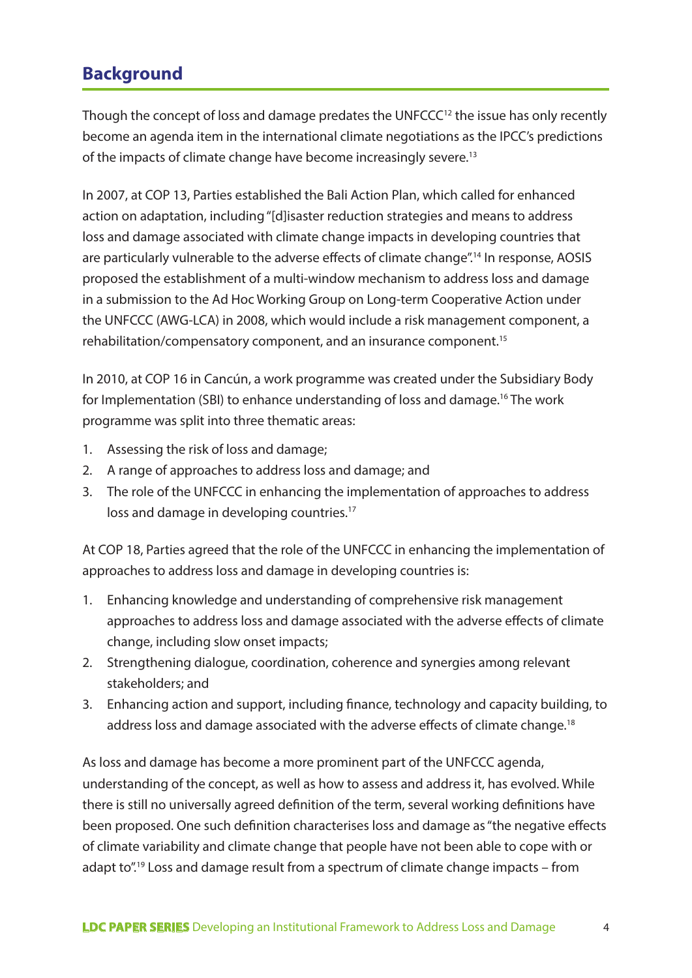# **Background**

Though the concept of loss and damage predates the UNFCCC $<sup>12</sup>$  the issue has only recently</sup> become an agenda item in the international climate negotiations as the IPCC's predictions of the impacts of climate change have become increasingly severe.<sup>13</sup>

In 2007, at COP 13, Parties established the Bali Action Plan, which called for enhanced action on adaptation, including "[d]isaster reduction strategies and means to address loss and damage associated with climate change impacts in developing countries that are particularly vulnerable to the adverse effects of climate change".<sup>14</sup> In response, AOSIS proposed the establishment of a multi-window mechanism to address loss and damage in a submission to the Ad Hoc Working Group on Long-term Cooperative Action under the UNFCCC (AWG-LCA) in 2008, which would include a risk management component, a rehabilitation/compensatory component, and an insurance component.15

In 2010, at COP 16 in Cancún, a work programme was created under the Subsidiary Body for Implementation (SBI) to enhance understanding of loss and damage.16 The work programme was split into three thematic areas:

- 1. Assessing the risk of loss and damage;
- 2. A range of approaches to address loss and damage; and
- 3. The role of the UNFCCC in enhancing the implementation of approaches to address loss and damage in developing countries.<sup>17</sup>

At COP 18, Parties agreed that the role of the UNFCCC in enhancing the implementation of approaches to address loss and damage in developing countries is:

- 1. Enhancing knowledge and understanding of comprehensive risk management approaches to address loss and damage associated with the adverse effects of climate change, including slow onset impacts;
- 2. Strengthening dialogue, coordination, coherence and synergies among relevant stakeholders; and
- 3. Enhancing action and support, including finance, technology and capacity building, to address loss and damage associated with the adverse effects of climate change.<sup>18</sup>

As loss and damage has become a more prominent part of the UNFCCC agenda, understanding of the concept, as well as how to assess and address it, has evolved. While there is still no universally agreed definition of the term, several working definitions have been proposed. One such definition characterises loss and damage as "the negative effects of climate variability and climate change that people have not been able to cope with or adapt to".19 Loss and damage result from a spectrum of climate change impacts – from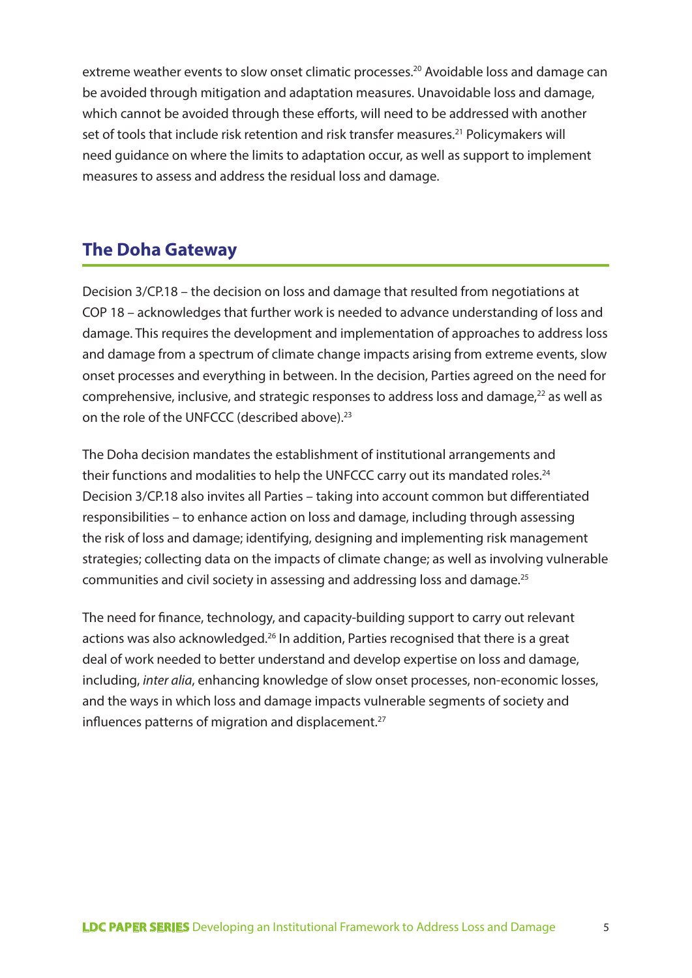extreme weather events to slow onset climatic processes.<sup>20</sup> Avoidable loss and damage can be avoided through mitigation and adaptation measures. Unavoidable loss and damage, which cannot be avoided through these efforts, will need to be addressed with another set of tools that include risk retention and risk transfer measures.<sup>21</sup> Policymakers will need guidance on where the limits to adaptation occur, as well as support to implement measures to assess and address the residual loss and damage.

# **The Doha Gateway**

Decision 3/CP.18 – the decision on loss and damage that resulted from negotiations at COP 18 – acknowledges that further work is needed to advance understanding of loss and damage. This requires the development and implementation of approaches to address loss and damage from a spectrum of climate change impacts arising from extreme events, slow onset processes and everything in between. In the decision, Parties agreed on the need for comprehensive, inclusive, and strategic responses to address loss and damage,<sup>22</sup> as well as on the role of the UNFCCC (described above).<sup>23</sup>

The Doha decision mandates the establishment of institutional arrangements and their functions and modalities to help the UNFCCC carry out its mandated roles.<sup>24</sup> Decision 3/CP.18 also invites all Parties – taking into account common but differentiated responsibilities – to enhance action on loss and damage, including through assessing the risk of loss and damage; identifying, designing and implementing risk management strategies; collecting data on the impacts of climate change; as well as involving vulnerable communities and civil society in assessing and addressing loss and damage.25

The need for finance, technology, and capacity-building support to carry out relevant actions was also acknowledged.<sup>26</sup> In addition, Parties recognised that there is a great deal of work needed to better understand and develop expertise on loss and damage, including, *inter alia*, enhancing knowledge of slow onset processes, non-economic losses, and the ways in which loss and damage impacts vulnerable segments of society and influences patterns of migration and displacement.<sup>27</sup>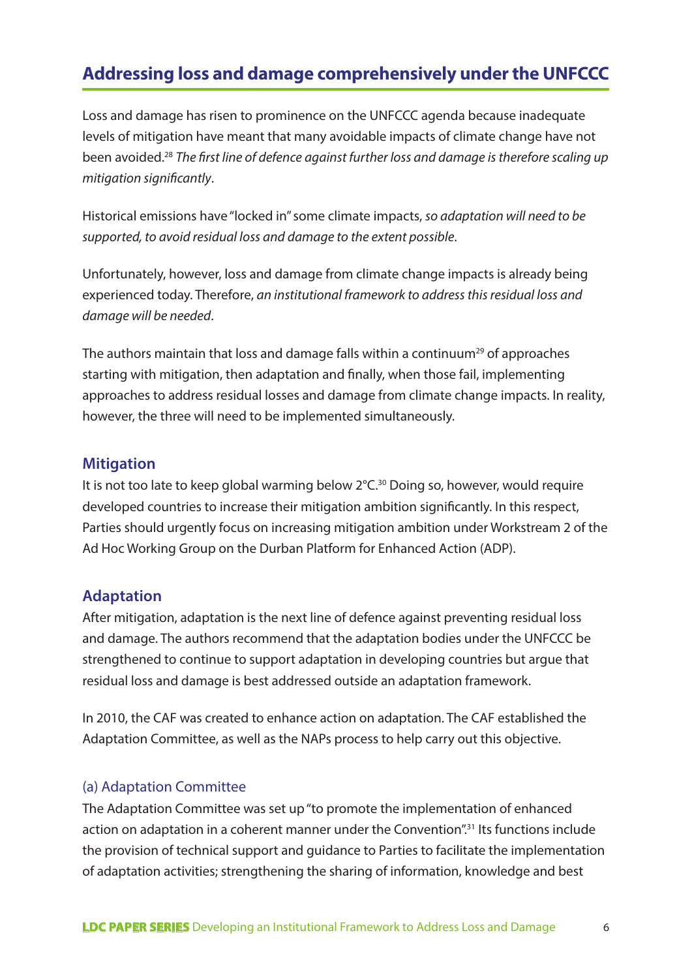# **Addressing loss and damage comprehensively under the UNFCCC**

Loss and damage has risen to prominence on the UNFCCC agenda because inadequate levels of mitigation have meant that many avoidable impacts of climate change have not been avoided.28 *The first line of defence against further loss and damage is therefore scaling up mitigation significantly*.

Historical emissions have "locked in" some climate impacts, *so adaptation will need to be supported, to avoid residual loss and damage to the extent possible*.

Unfortunately, however, loss and damage from climate change impacts is already being experienced today. Therefore, *an institutional framework to address this residual loss and damage will be needed*.

The authors maintain that loss and damage falls within a continuum<sup>29</sup> of approaches starting with mitigation, then adaptation and finally, when those fail, implementing approaches to address residual losses and damage from climate change impacts. In reality, however, the three will need to be implemented simultaneously.

#### **Mitigation**

It is not too late to keep global warming below 2°C.<sup>30</sup> Doing so, however, would require developed countries to increase their mitigation ambition significantly. In this respect, Parties should urgently focus on increasing mitigation ambition under Workstream 2 of the Ad Hoc Working Group on the Durban Platform for Enhanced Action (ADP).

#### **Adaptation**

After mitigation, adaptation is the next line of defence against preventing residual loss and damage. The authors recommend that the adaptation bodies under the UNFCCC be strengthened to continue to support adaptation in developing countries but argue that residual loss and damage is best addressed outside an adaptation framework.

In 2010, the CAF was created to enhance action on adaptation. The CAF established the Adaptation Committee, as well as the NAPs process to help carry out this objective.

#### (a) Adaptation Committee

The Adaptation Committee was set up "to promote the implementation of enhanced action on adaptation in a coherent manner under the Convention".<sup>31</sup> Its functions include the provision of technical support and guidance to Parties to facilitate the implementation of adaptation activities; strengthening the sharing of information, knowledge and best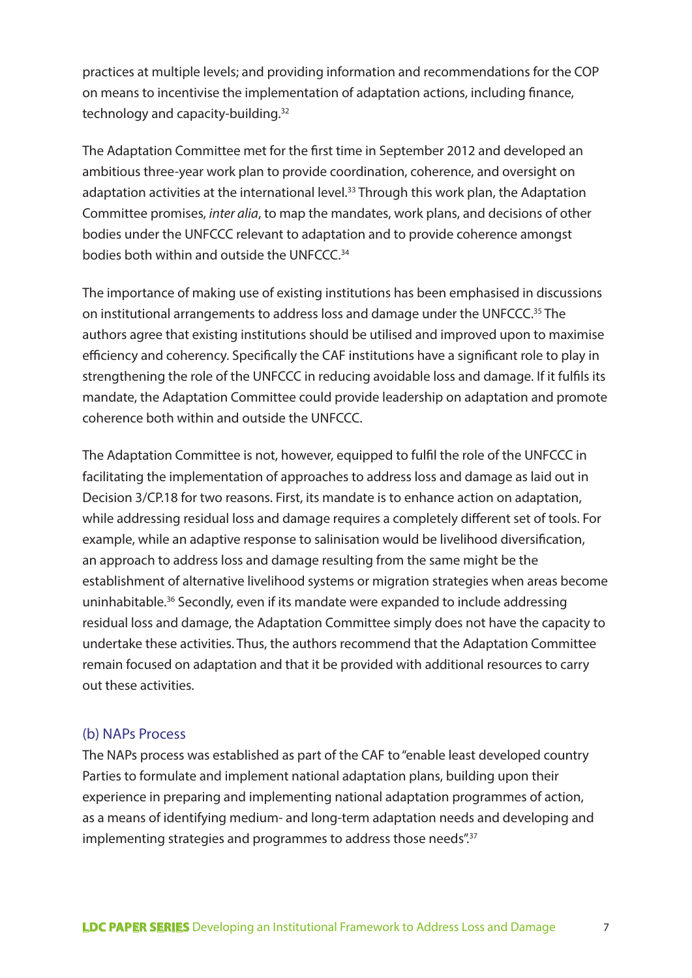practices at multiple levels; and providing information and recommendations for the COP on means to incentivise the implementation of adaptation actions, including finance, technology and capacity-building.32

The Adaptation Committee met for the first time in September 2012 and developed an ambitious three-year work plan to provide coordination, coherence, and oversight on adaptation activities at the international level.<sup>33</sup> Through this work plan, the Adaptation Committee promises, *inter alia*, to map the mandates, work plans, and decisions of other bodies under the UNFCCC relevant to adaptation and to provide coherence amongst bodies both within and outside the UNFCCC.<sup>34</sup>

The importance of making use of existing institutions has been emphasised in discussions on institutional arrangements to address loss and damage under the UNFCCC.<sup>35</sup> The authors agree that existing institutions should be utilised and improved upon to maximise efficiency and coherency. Specifically the CAF institutions have a significant role to play in strengthening the role of the UNFCCC in reducing avoidable loss and damage. If it fulfils its mandate, the Adaptation Committee could provide leadership on adaptation and promote coherence both within and outside the UNFCCC.

The Adaptation Committee is not, however, equipped to fulfil the role of the UNFCCC in facilitating the implementation of approaches to address loss and damage as laid out in Decision 3/CP.18 for two reasons. First, its mandate is to enhance action on adaptation, while addressing residual loss and damage requires a completely different set of tools. For example, while an adaptive response to salinisation would be livelihood diversification, an approach to address loss and damage resulting from the same might be the establishment of alternative livelihood systems or migration strategies when areas become uninhabitable.36 Secondly, even if its mandate were expanded to include addressing residual loss and damage, the Adaptation Committee simply does not have the capacity to undertake these activities. Thus, the authors recommend that the Adaptation Committee remain focused on adaptation and that it be provided with additional resources to carry out these activities.

#### (b) NAPs Process

The NAPs process was established as part of the CAF to "enable least developed country Parties to formulate and implement national adaptation plans, building upon their experience in preparing and implementing national adaptation programmes of action, as a means of identifying medium- and long-term adaptation needs and developing and implementing strategies and programmes to address those needs".<sup>37</sup>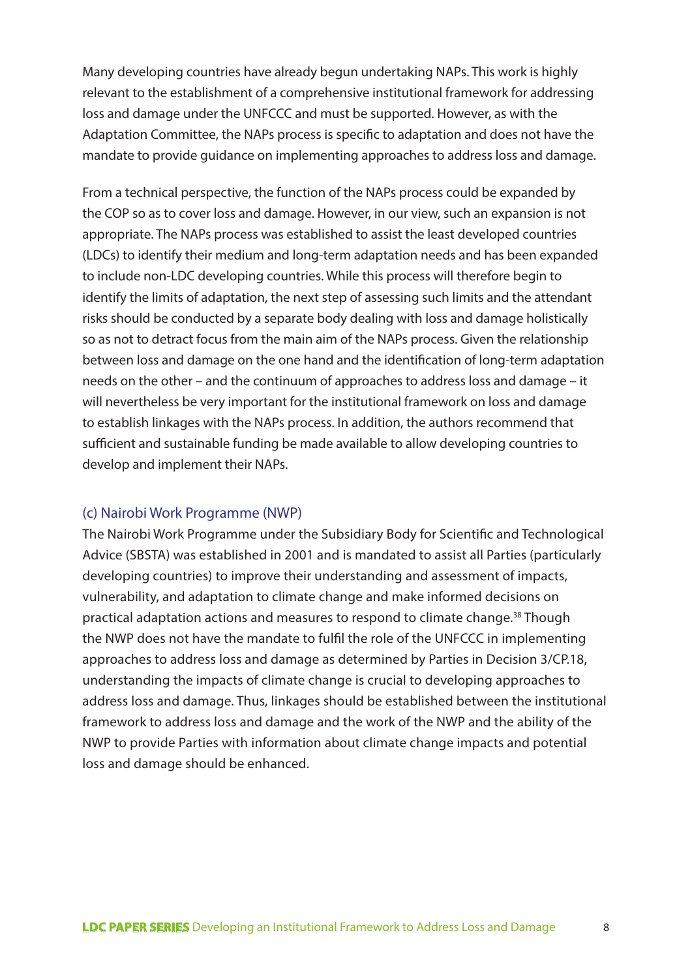Many developing countries have already begun undertaking NAPs. This work is highly relevant to the establishment of a comprehensive institutional framework for addressing loss and damage under the UNFCCC and must be supported. However, as with the Adaptation Committee, the NAPs process is specific to adaptation and does not have the mandate to provide guidance on implementing approaches to address loss and damage.

From a technical perspective, the function of the NAPs process could be expanded by the COP so as to cover loss and damage. However, in our view, such an expansion is not appropriate. The NAPs process was established to assist the least developed countries (LDCs) to identify their medium and long-term adaptation needs and has been expanded to include non-LDC developing countries. While this process will therefore begin to identify the limits of adaptation, the next step of assessing such limits and the attendant risks should be conducted by a separate body dealing with loss and damage holistically so as not to detract focus from the main aim of the NAPs process. Given the relationship between loss and damage on the one hand and the identification of long-term adaptation needs on the other – and the continuum of approaches to address loss and damage – it will nevertheless be very important for the institutional framework on loss and damage to establish linkages with the NAPs process. In addition, the authors recommend that sufficient and sustainable funding be made available to allow developing countries to develop and implement their NAPs.

#### (c) Nairobi Work Programme (NWP)

The Nairobi Work Programme under the Subsidiary Body for Scientific and Technological Advice (SBSTA) was established in 2001 and is mandated to assist all Parties (particularly developing countries) to improve their understanding and assessment of impacts, vulnerability, and adaptation to climate change and make informed decisions on practical adaptation actions and measures to respond to climate change.38 Though the NWP does not have the mandate to fulfil the role of the UNFCCC in implementing approaches to address loss and damage as determined by Parties in Decision 3/CP.18, understanding the impacts of climate change is crucial to developing approaches to address loss and damage. Thus, linkages should be established between the institutional framework to address loss and damage and the work of the NWP and the ability of the NWP to provide Parties with information about climate change impacts and potential loss and damage should be enhanced.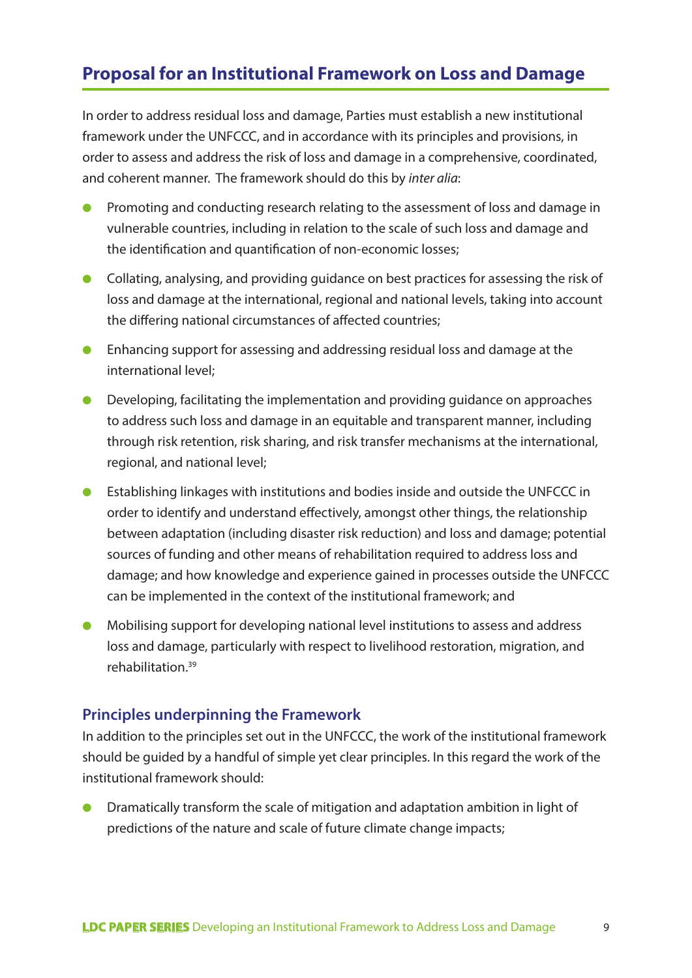# **Proposal for an Institutional Framework on Loss and Damage**

In order to address residual loss and damage, Parties must establish a new institutional framework under the UNFCCC, and in accordance with its principles and provisions, in order to assess and address the risk of loss and damage in a comprehensive, coordinated, and coherent manner. The framework should do this by *inter alia*:

- Promoting and conducting research relating to the assessment of loss and damage in vulnerable countries, including in relation to the scale of such loss and damage and the identification and quantification of non-economic losses;
- Collating, analysing, and providing guidance on best practices for assessing the risk of loss and damage at the international, regional and national levels, taking into account the differing national circumstances of affected countries;
- Enhancing support for assessing and addressing residual loss and damage at the international level;
- Developing, facilitating the implementation and providing guidance on approaches to address such loss and damage in an equitable and transparent manner, including through risk retention, risk sharing, and risk transfer mechanisms at the international, regional, and national level;
- Establishing linkages with institutions and bodies inside and outside the UNFCCC in order to identify and understand effectively, amongst other things, the relationship between adaptation (including disaster risk reduction) and loss and damage; potential sources of funding and other means of rehabilitation required to address loss and damage; and how knowledge and experience gained in processes outside the UNFCCC can be implemented in the context of the institutional framework; and
- Mobilising support for developing national level institutions to assess and address loss and damage, particularly with respect to livelihood restoration, migration, and rehabilitation<sup>39</sup>

#### **Principles underpinning the Framework**

In addition to the principles set out in the UNFCCC, the work of the institutional framework should be guided by a handful of simple yet clear principles. In this regard the work of the institutional framework should:

Dramatically transform the scale of mitigation and adaptation ambition in light of predictions of the nature and scale of future climate change impacts;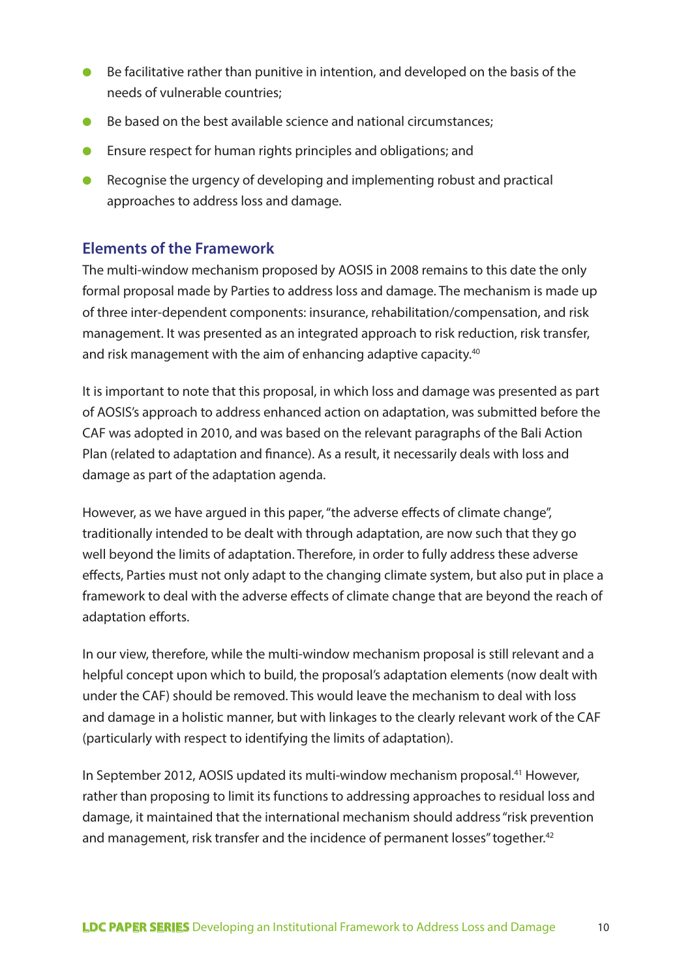- Be facilitative rather than punitive in intention, and developed on the basis of the needs of vulnerable countries;
- Be based on the best available science and national circumstances:
- Ensure respect for human rights principles and obligations; and
- Recognise the urgency of developing and implementing robust and practical approaches to address loss and damage.

### **Elements of the Framework**

The multi-window mechanism proposed by AOSIS in 2008 remains to this date the only formal proposal made by Parties to address loss and damage. The mechanism is made up of three inter-dependent components: insurance, rehabilitation/compensation, and risk management. It was presented as an integrated approach to risk reduction, risk transfer, and risk management with the aim of enhancing adaptive capacity.<sup>40</sup>

It is important to note that this proposal, in which loss and damage was presented as part of AOSIS's approach to address enhanced action on adaptation, was submitted before the CAF was adopted in 2010, and was based on the relevant paragraphs of the Bali Action Plan (related to adaptation and finance). As a result, it necessarily deals with loss and damage as part of the adaptation agenda.

However, as we have argued in this paper, "the adverse effects of climate change", traditionally intended to be dealt with through adaptation, are now such that they go well beyond the limits of adaptation. Therefore, in order to fully address these adverse effects, Parties must not only adapt to the changing climate system, but also put in place a framework to deal with the adverse effects of climate change that are beyond the reach of adaptation efforts.

In our view, therefore, while the multi-window mechanism proposal is still relevant and a helpful concept upon which to build, the proposal's adaptation elements (now dealt with under the CAF) should be removed. This would leave the mechanism to deal with loss and damage in a holistic manner, but with linkages to the clearly relevant work of the CAF (particularly with respect to identifying the limits of adaptation).

In September 2012, AOSIS updated its multi-window mechanism proposal.<sup>41</sup> However, rather than proposing to limit its functions to addressing approaches to residual loss and damage, it maintained that the international mechanism should address "risk prevention and management, risk transfer and the incidence of permanent losses" together.<sup>42</sup>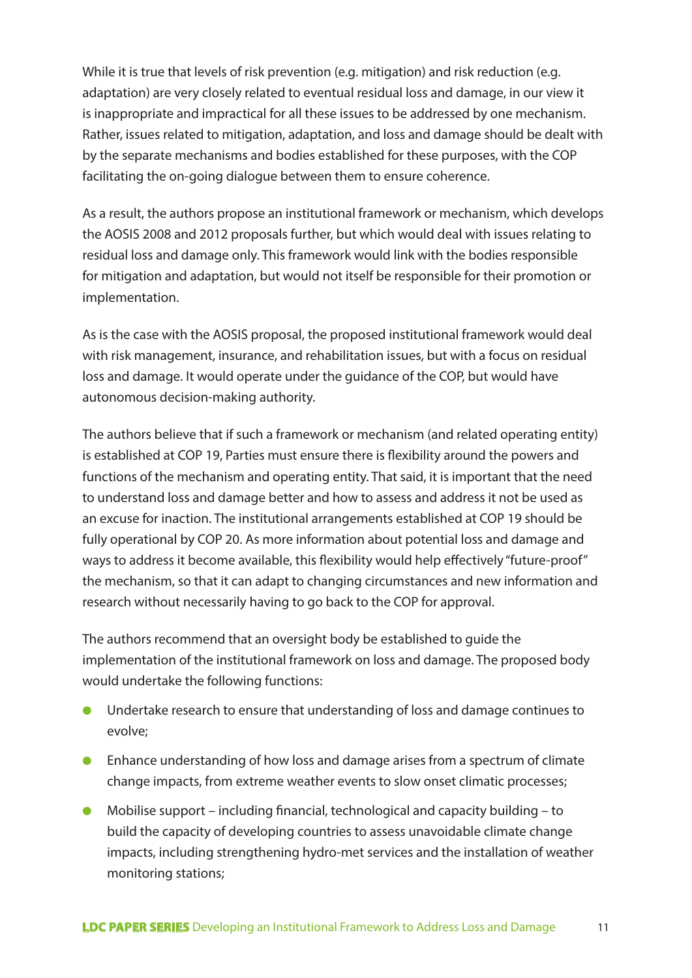While it is true that levels of risk prevention (e.g. mitigation) and risk reduction (e.g. adaptation) are very closely related to eventual residual loss and damage, in our view it is inappropriate and impractical for all these issues to be addressed by one mechanism. Rather, issues related to mitigation, adaptation, and loss and damage should be dealt with by the separate mechanisms and bodies established for these purposes, with the COP facilitating the on-going dialogue between them to ensure coherence.

As a result, the authors propose an institutional framework or mechanism, which develops the AOSIS 2008 and 2012 proposals further, but which would deal with issues relating to residual loss and damage only. This framework would link with the bodies responsible for mitigation and adaptation, but would not itself be responsible for their promotion or implementation.

As is the case with the AOSIS proposal, the proposed institutional framework would deal with risk management, insurance, and rehabilitation issues, but with a focus on residual loss and damage. It would operate under the guidance of the COP, but would have autonomous decision-making authority.

The authors believe that if such a framework or mechanism (and related operating entity) is established at COP 19, Parties must ensure there is flexibility around the powers and functions of the mechanism and operating entity. That said, it is important that the need to understand loss and damage better and how to assess and address it not be used as an excuse for inaction. The institutional arrangements established at COP 19 should be fully operational by COP 20. As more information about potential loss and damage and ways to address it become available, this flexibility would help effectively "future-proof" the mechanism, so that it can adapt to changing circumstances and new information and research without necessarily having to go back to the COP for approval.

The authors recommend that an oversight body be established to guide the implementation of the institutional framework on loss and damage. The proposed body would undertake the following functions:

- Undertake research to ensure that understanding of loss and damage continues to evolve;
- Enhance understanding of how loss and damage arises from a spectrum of climate change impacts, from extreme weather events to slow onset climatic processes;
- Mobilise support including financial, technological and capacity building to build the capacity of developing countries to assess unavoidable climate change impacts, including strengthening hydro-met services and the installation of weather monitoring stations;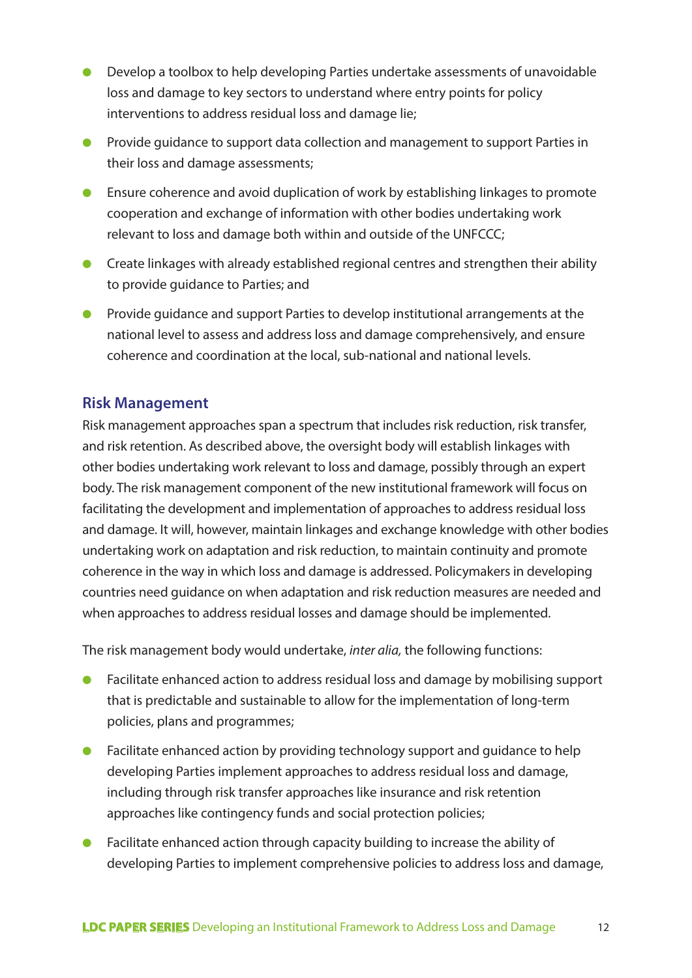- Develop a toolbox to help developing Parties undertake assessments of unavoidable loss and damage to key sectors to understand where entry points for policy interventions to address residual loss and damage lie;
- Provide guidance to support data collection and management to support Parties in their loss and damage assessments;
- Ensure coherence and avoid duplication of work by establishing linkages to promote cooperation and exchange of information with other bodies undertaking work relevant to loss and damage both within and outside of the UNFCCC;
- Create linkages with already established regional centres and strengthen their ability to provide guidance to Parties; and
- Provide guidance and support Parties to develop institutional arrangements at the national level to assess and address loss and damage comprehensively, and ensure coherence and coordination at the local, sub-national and national levels.

#### **Risk Management**

Risk management approaches span a spectrum that includes risk reduction, risk transfer, and risk retention. As described above, the oversight body will establish linkages with other bodies undertaking work relevant to loss and damage, possibly through an expert body. The risk management component of the new institutional framework will focus on facilitating the development and implementation of approaches to address residual loss and damage. It will, however, maintain linkages and exchange knowledge with other bodies undertaking work on adaptation and risk reduction, to maintain continuity and promote coherence in the way in which loss and damage is addressed. Policymakers in developing countries need guidance on when adaptation and risk reduction measures are needed and when approaches to address residual losses and damage should be implemented.

The risk management body would undertake, *inter alia,* the following functions:

- Facilitate enhanced action to address residual loss and damage by mobilising support that is predictable and sustainable to allow for the implementation of long-term policies, plans and programmes;
- Facilitate enhanced action by providing technology support and guidance to help developing Parties implement approaches to address residual loss and damage, including through risk transfer approaches like insurance and risk retention approaches like contingency funds and social protection policies;
- Facilitate enhanced action through capacity building to increase the ability of developing Parties to implement comprehensive policies to address loss and damage,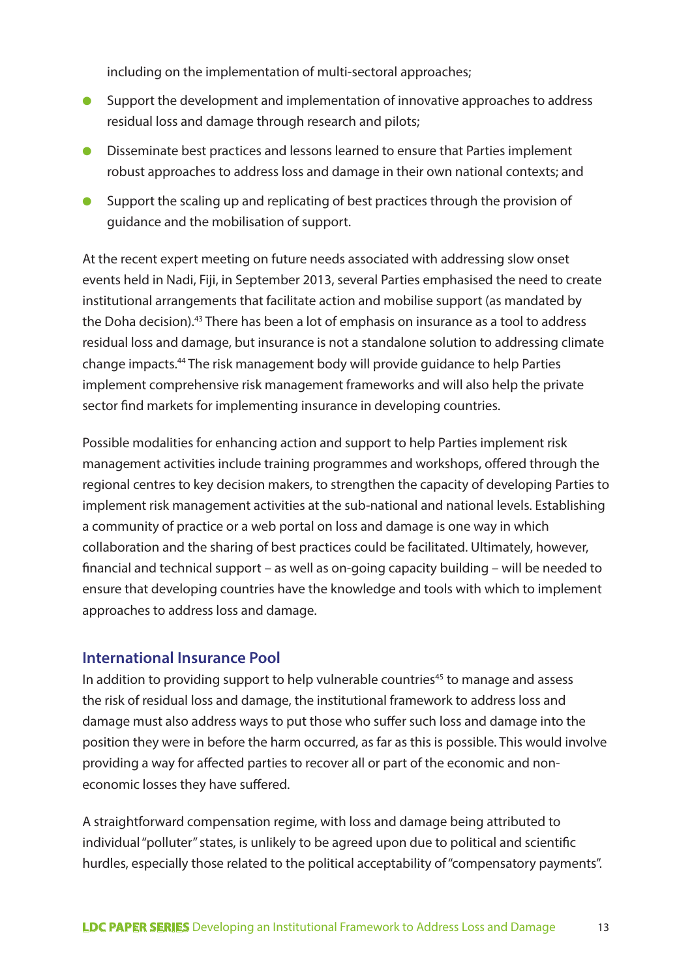including on the implementation of multi-sectoral approaches;

- Support the development and implementation of innovative approaches to address residual loss and damage through research and pilots;
- Disseminate best practices and lessons learned to ensure that Parties implement robust approaches to address loss and damage in their own national contexts; and
- Support the scaling up and replicating of best practices through the provision of guidance and the mobilisation of support.

At the recent expert meeting on future needs associated with addressing slow onset events held in Nadi, Fiji, in September 2013, several Parties emphasised the need to create institutional arrangements that facilitate action and mobilise support (as mandated by the Doha decision).43 There has been a lot of emphasis on insurance as a tool to address residual loss and damage, but insurance is not a standalone solution to addressing climate change impacts.44 The risk management body will provide guidance to help Parties implement comprehensive risk management frameworks and will also help the private sector find markets for implementing insurance in developing countries.

Possible modalities for enhancing action and support to help Parties implement risk management activities include training programmes and workshops, offered through the regional centres to key decision makers, to strengthen the capacity of developing Parties to implement risk management activities at the sub-national and national levels. Establishing a community of practice or a web portal on loss and damage is one way in which collaboration and the sharing of best practices could be facilitated. Ultimately, however, financial and technical support – as well as on-going capacity building – will be needed to ensure that developing countries have the knowledge and tools with which to implement approaches to address loss and damage.

#### **International Insurance Pool**

In addition to providing support to help vulnerable countries<sup>45</sup> to manage and assess the risk of residual loss and damage, the institutional framework to address loss and damage must also address ways to put those who suffer such loss and damage into the position they were in before the harm occurred, as far as this is possible. This would involve providing a way for affected parties to recover all or part of the economic and noneconomic losses they have suffered.

A straightforward compensation regime, with loss and damage being attributed to individual "polluter" states, is unlikely to be agreed upon due to political and scientific hurdles, especially those related to the political acceptability of "compensatory payments".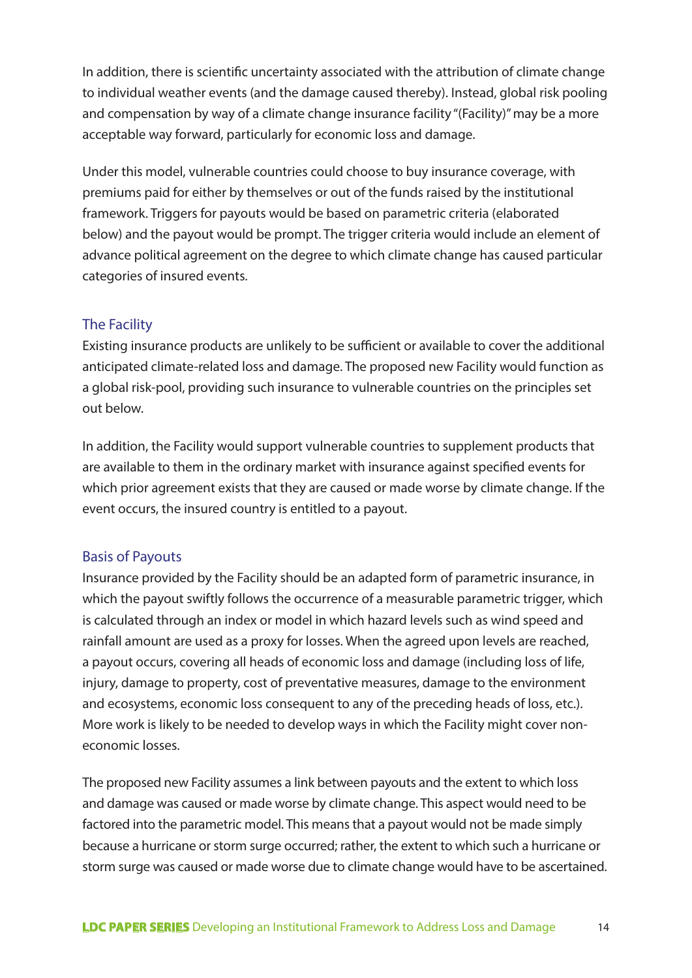In addition, there is scientific uncertainty associated with the attribution of climate change to individual weather events (and the damage caused thereby). Instead, global risk pooling and compensation by way of a climate change insurance facility "(Facility)" may be a more acceptable way forward, particularly for economic loss and damage.

Under this model, vulnerable countries could choose to buy insurance coverage, with premiums paid for either by themselves or out of the funds raised by the institutional framework. Triggers for payouts would be based on parametric criteria (elaborated below) and the payout would be prompt. The trigger criteria would include an element of advance political agreement on the degree to which climate change has caused particular categories of insured events.

#### The Facility

Existing insurance products are unlikely to be sufficient or available to cover the additional anticipated climate-related loss and damage. The proposed new Facility would function as a global risk-pool, providing such insurance to vulnerable countries on the principles set out below.

In addition, the Facility would support vulnerable countries to supplement products that are available to them in the ordinary market with insurance against specified events for which prior agreement exists that they are caused or made worse by climate change. If the event occurs, the insured country is entitled to a payout.

#### Basis of Payouts

Insurance provided by the Facility should be an adapted form of parametric insurance, in which the payout swiftly follows the occurrence of a measurable parametric trigger, which is calculated through an index or model in which hazard levels such as wind speed and rainfall amount are used as a proxy for losses. When the agreed upon levels are reached, a payout occurs, covering all heads of economic loss and damage (including loss of life, injury, damage to property, cost of preventative measures, damage to the environment and ecosystems, economic loss consequent to any of the preceding heads of loss, etc.). More work is likely to be needed to develop ways in which the Facility might cover noneconomic losses.

The proposed new Facility assumes a link between payouts and the extent to which loss and damage was caused or made worse by climate change. This aspect would need to be factored into the parametric model. This means that a payout would not be made simply because a hurricane or storm surge occurred; rather, the extent to which such a hurricane or storm surge was caused or made worse due to climate change would have to be ascertained.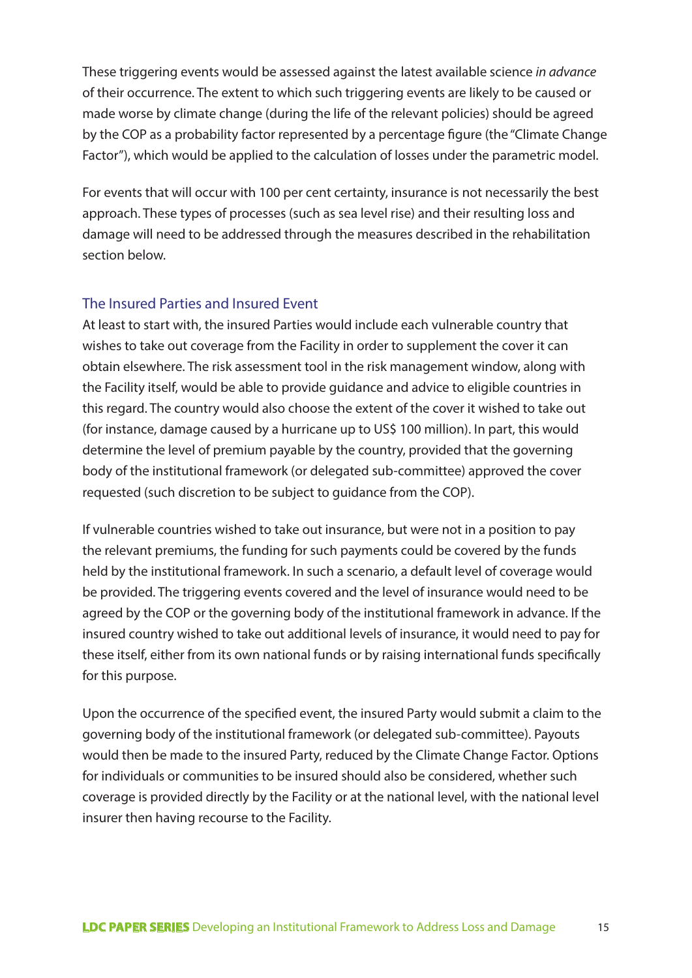These triggering events would be assessed against the latest available science *in advance* of their occurrence. The extent to which such triggering events are likely to be caused or made worse by climate change (during the life of the relevant policies) should be agreed by the COP as a probability factor represented by a percentage figure (the "Climate Change Factor"), which would be applied to the calculation of losses under the parametric model.

For events that will occur with 100 per cent certainty, insurance is not necessarily the best approach. These types of processes (such as sea level rise) and their resulting loss and damage will need to be addressed through the measures described in the rehabilitation section below.

#### The Insured Parties and Insured Event

At least to start with, the insured Parties would include each vulnerable country that wishes to take out coverage from the Facility in order to supplement the cover it can obtain elsewhere. The risk assessment tool in the risk management window, along with the Facility itself, would be able to provide guidance and advice to eligible countries in this regard. The country would also choose the extent of the cover it wished to take out (for instance, damage caused by a hurricane up to US\$ 100 million). In part, this would determine the level of premium payable by the country, provided that the governing body of the institutional framework (or delegated sub-committee) approved the cover requested (such discretion to be subject to guidance from the COP).

If vulnerable countries wished to take out insurance, but were not in a position to pay the relevant premiums, the funding for such payments could be covered by the funds held by the institutional framework. In such a scenario, a default level of coverage would be provided. The triggering events covered and the level of insurance would need to be agreed by the COP or the governing body of the institutional framework in advance. If the insured country wished to take out additional levels of insurance, it would need to pay for these itself, either from its own national funds or by raising international funds specifically for this purpose.

Upon the occurrence of the specified event, the insured Party would submit a claim to the governing body of the institutional framework (or delegated sub-committee). Payouts would then be made to the insured Party, reduced by the Climate Change Factor. Options for individuals or communities to be insured should also be considered, whether such coverage is provided directly by the Facility or at the national level, with the national level insurer then having recourse to the Facility.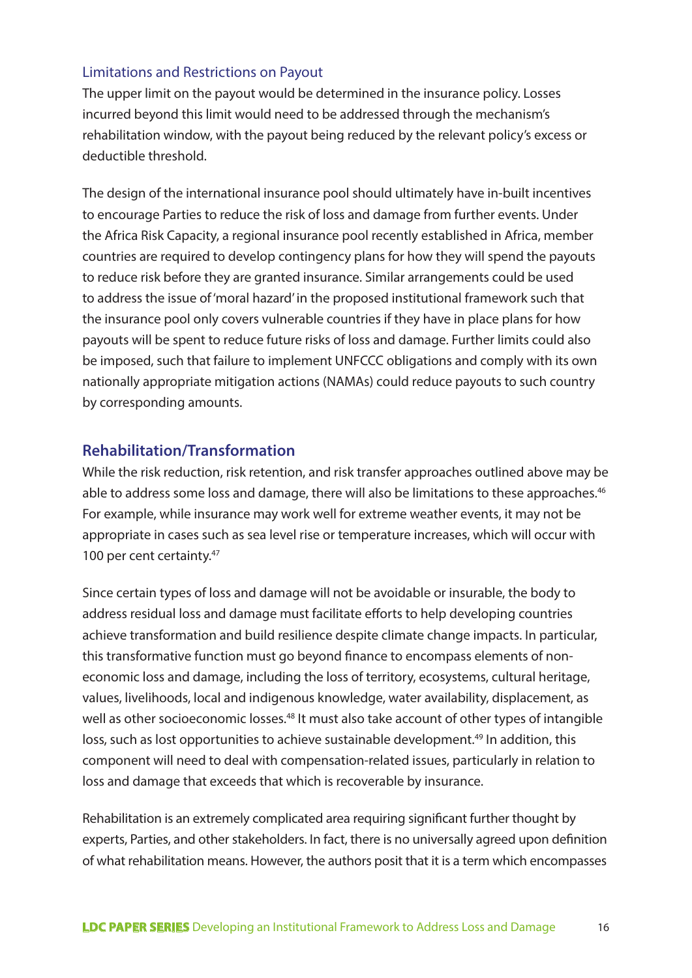#### Limitations and Restrictions on Payout

The upper limit on the payout would be determined in the insurance policy. Losses incurred beyond this limit would need to be addressed through the mechanism's rehabilitation window, with the payout being reduced by the relevant policy's excess or deductible threshold.

The design of the international insurance pool should ultimately have in-built incentives to encourage Parties to reduce the risk of loss and damage from further events. Under the Africa Risk Capacity, a regional insurance pool recently established in Africa, member countries are required to develop contingency plans for how they will spend the payouts to reduce risk before they are granted insurance. Similar arrangements could be used to address the issue of 'moral hazard' in the proposed institutional framework such that the insurance pool only covers vulnerable countries if they have in place plans for how payouts will be spent to reduce future risks of loss and damage. Further limits could also be imposed, such that failure to implement UNFCCC obligations and comply with its own nationally appropriate mitigation actions (NAMAs) could reduce payouts to such country by corresponding amounts.

#### **Rehabilitation/Transformation**

While the risk reduction, risk retention, and risk transfer approaches outlined above may be able to address some loss and damage, there will also be limitations to these approaches.<sup>46</sup> For example, while insurance may work well for extreme weather events, it may not be appropriate in cases such as sea level rise or temperature increases, which will occur with 100 per cent certainty.<sup>47</sup>

Since certain types of loss and damage will not be avoidable or insurable, the body to address residual loss and damage must facilitate efforts to help developing countries achieve transformation and build resilience despite climate change impacts. In particular, this transformative function must go beyond finance to encompass elements of noneconomic loss and damage, including the loss of territory, ecosystems, cultural heritage, values, livelihoods, local and indigenous knowledge, water availability, displacement, as well as other socioeconomic losses.<sup>48</sup> It must also take account of other types of intangible loss, such as lost opportunities to achieve sustainable development.<sup>49</sup> In addition, this component will need to deal with compensation-related issues, particularly in relation to loss and damage that exceeds that which is recoverable by insurance.

Rehabilitation is an extremely complicated area requiring significant further thought by experts, Parties, and other stakeholders. In fact, there is no universally agreed upon definition of what rehabilitation means. However, the authors posit that it is a term which encompasses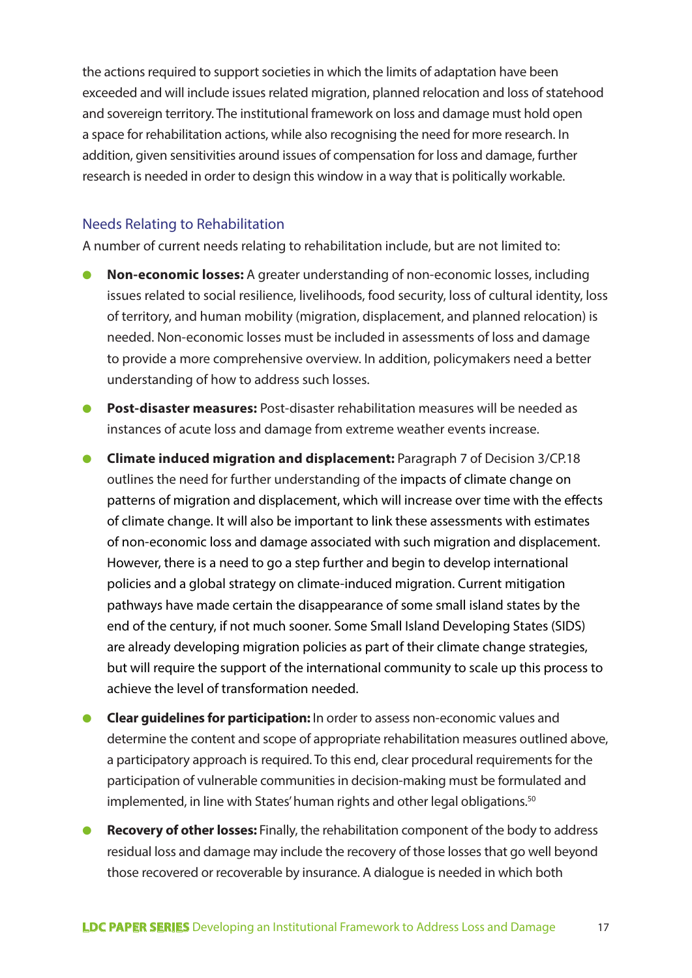the actions required to support societies in which the limits of adaptation have been exceeded and will include issues related migration, planned relocation and loss of statehood and sovereign territory. The institutional framework on loss and damage must hold open a space for rehabilitation actions, while also recognising the need for more research. In addition, given sensitivities around issues of compensation for loss and damage, further research is needed in order to design this window in a way that is politically workable.

#### Needs Relating to Rehabilitation

A number of current needs relating to rehabilitation include, but are not limited to:

- **Non-economic losses:** A greater understanding of non-economic losses, including issues related to social resilience, livelihoods, food security, loss of cultural identity, loss of territory, and human mobility (migration, displacement, and planned relocation) is needed. Non-economic losses must be included in assessments of loss and damage to provide a more comprehensive overview. In addition, policymakers need a better understanding of how to address such losses.
- **Post-disaster measures:** Post-disaster rehabilitation measures will be needed as instances of acute loss and damage from extreme weather events increase.
- **Climate induced migration and displacement:** Paragraph 7 of Decision 3/CP.18 outlines the need for further understanding of the impacts of climate change on patterns of migration and displacement, which will increase over time with the effects of climate change. It will also be important to link these assessments with estimates of non-economic loss and damage associated with such migration and displacement. However, there is a need to go a step further and begin to develop international policies and a global strategy on climate-induced migration. Current mitigation pathways have made certain the disappearance of some small island states by the end of the century, if not much sooner. Some Small Island Developing States (SIDS) are already developing migration policies as part of their climate change strategies, but will require the support of the international community to scale up this process to achieve the level of transformation needed.
- **Clear guidelines for participation:** In order to assess non-economic values and determine the content and scope of appropriate rehabilitation measures outlined above, a participatory approach is required. To this end, clear procedural requirements for the participation of vulnerable communities in decision-making must be formulated and implemented, in line with States' human rights and other legal obligations.<sup>50</sup>
- **Recovery of other losses:** Finally, the rehabilitation component of the body to address residual loss and damage may include the recovery of those losses that go well beyond those recovered or recoverable by insurance. A dialogue is needed in which both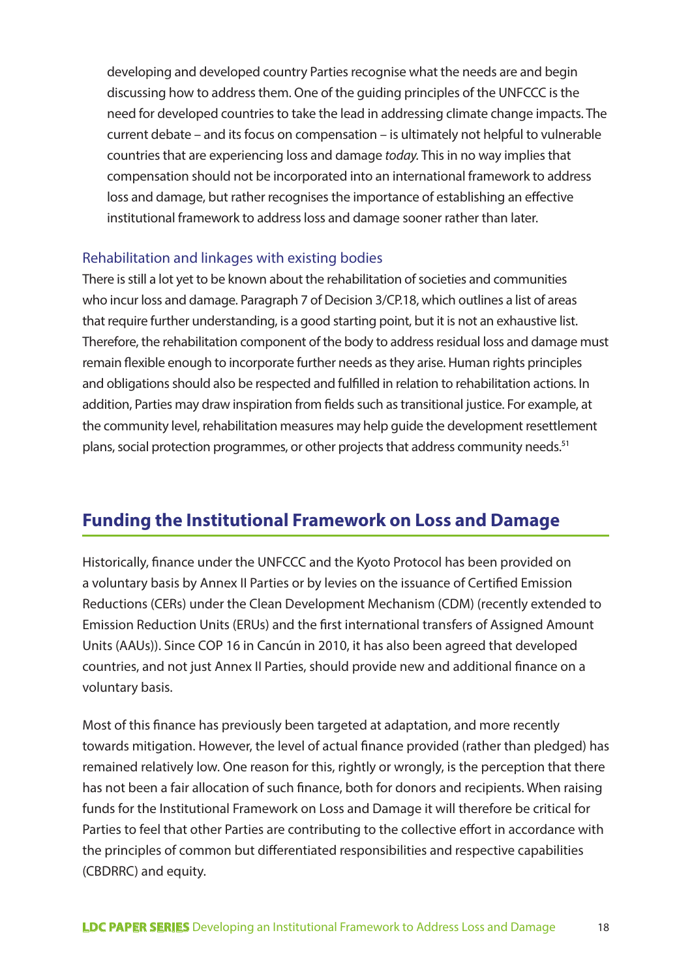developing and developed country Parties recognise what the needs are and begin discussing how to address them. One of the guiding principles of the UNFCCC is the need for developed countries to take the lead in addressing climate change impacts. The current debate – and its focus on compensation – is ultimately not helpful to vulnerable countries that are experiencing loss and damage *today.* This in no way implies that compensation should not be incorporated into an international framework to address loss and damage, but rather recognises the importance of establishing an effective institutional framework to address loss and damage sooner rather than later.

#### Rehabilitation and linkages with existing bodies

There is still a lot yet to be known about the rehabilitation of societies and communities who incur loss and damage. Paragraph 7 of Decision 3/CP.18, which outlines a list of areas that require further understanding, is a good starting point, but it is not an exhaustive list. Therefore, the rehabilitation component of the body to address residual loss and damage must remain flexible enough to incorporate further needs as they arise. Human rights principles and obligations should also be respected and fulfilled in relation to rehabilitation actions. In addition, Parties may draw inspiration from fields such as transitional justice. For example, at the community level, rehabilitation measures may help guide the development resettlement plans, social protection programmes, or other projects that address community needs.<sup>51</sup>

## **Funding the Institutional Framework on Loss and Damage**

Historically, finance under the UNFCCC and the Kyoto Protocol has been provided on a voluntary basis by Annex II Parties or by levies on the issuance of Certified Emission Reductions (CERs) under the Clean Development Mechanism (CDM) (recently extended to Emission Reduction Units (ERUs) and the first international transfers of Assigned Amount Units (AAUs)). Since COP 16 in Cancún in 2010, it has also been agreed that developed countries, and not just Annex II Parties, should provide new and additional finance on a voluntary basis.

Most of this finance has previously been targeted at adaptation, and more recently towards mitigation. However, the level of actual finance provided (rather than pledged) has remained relatively low. One reason for this, rightly or wrongly, is the perception that there has not been a fair allocation of such finance, both for donors and recipients. When raising funds for the Institutional Framework on Loss and Damage it will therefore be critical for Parties to feel that other Parties are contributing to the collective effort in accordance with the principles of common but differentiated responsibilities and respective capabilities (CBDRRC) and equity.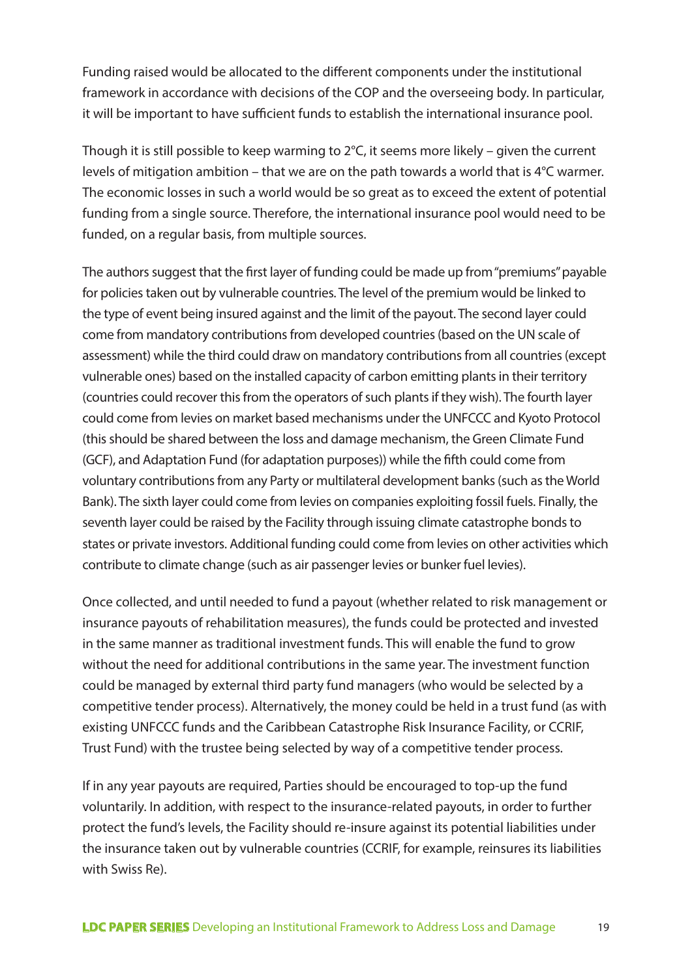Funding raised would be allocated to the different components under the institutional framework in accordance with decisions of the COP and the overseeing body. In particular, it will be important to have sufficient funds to establish the international insurance pool.

Though it is still possible to keep warming to 2°C, it seems more likely – given the current levels of mitigation ambition – that we are on the path towards a world that is 4°C warmer. The economic losses in such a world would be so great as to exceed the extent of potential funding from a single source. Therefore, the international insurance pool would need to be funded, on a regular basis, from multiple sources.

The authors suggest that the first layer of funding could be made up from "premiums" payable for policies taken out by vulnerable countries. The level of the premium would be linked to the type of event being insured against and the limit of the payout. The second layer could come from mandatory contributions from developed countries (based on the UN scale of assessment) while the third could draw on mandatory contributions from all countries (except vulnerable ones) based on the installed capacity of carbon emitting plants in their territory (countries could recover this from the operators of such plants if they wish). The fourth layer could come from levies on market based mechanisms under the UNFCCC and Kyoto Protocol (this should be shared between the loss and damage mechanism, the Green Climate Fund (GCF), and Adaptation Fund (for adaptation purposes)) while the fifth could come from voluntary contributions from any Party or multilateral development banks (such as the World Bank). The sixth layer could come from levies on companies exploiting fossil fuels. Finally, the seventh layer could be raised by the Facility through issuing climate catastrophe bonds to states or private investors. Additional funding could come from levies on other activities which contribute to climate change (such as air passenger levies or bunker fuel levies).

Once collected, and until needed to fund a payout (whether related to risk management or insurance payouts of rehabilitation measures), the funds could be protected and invested in the same manner as traditional investment funds. This will enable the fund to grow without the need for additional contributions in the same year. The investment function could be managed by external third party fund managers (who would be selected by a competitive tender process). Alternatively, the money could be held in a trust fund (as with existing UNFCCC funds and the Caribbean Catastrophe Risk Insurance Facility, or CCRIF, Trust Fund) with the trustee being selected by way of a competitive tender process.

If in any year payouts are required, Parties should be encouraged to top-up the fund voluntarily. In addition, with respect to the insurance-related payouts, in order to further protect the fund's levels, the Facility should re-insure against its potential liabilities under the insurance taken out by vulnerable countries (CCRIF, for example, reinsures its liabilities with Swiss Re).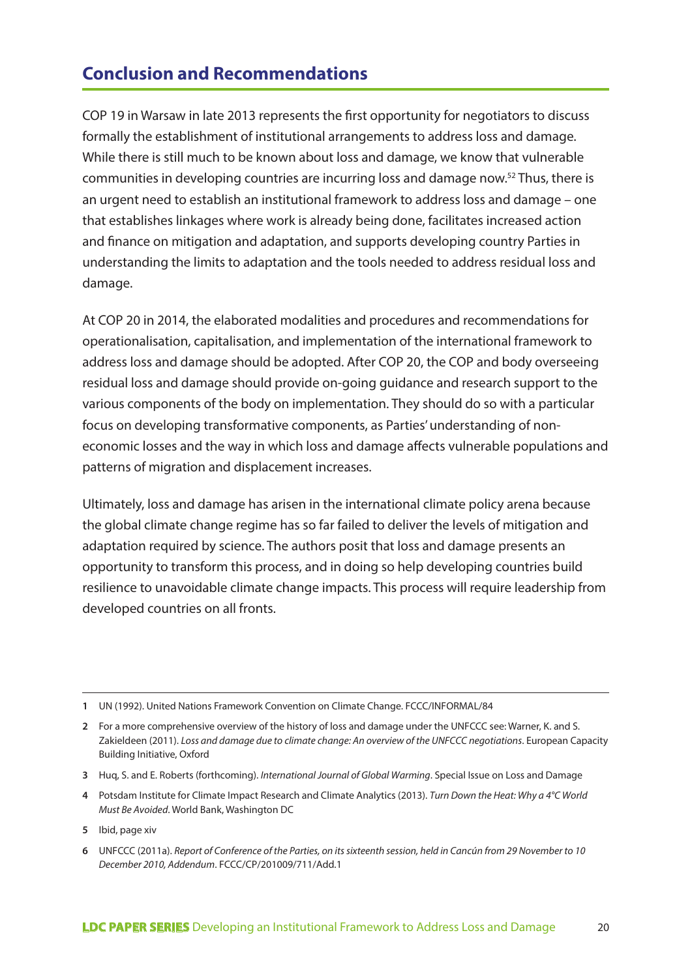# **Conclusion and Recommendations**

COP 19 in Warsaw in late 2013 represents the first opportunity for negotiators to discuss formally the establishment of institutional arrangements to address loss and damage. While there is still much to be known about loss and damage, we know that vulnerable communities in developing countries are incurring loss and damage now.52 Thus, there is an urgent need to establish an institutional framework to address loss and damage – one that establishes linkages where work is already being done, facilitates increased action and finance on mitigation and adaptation, and supports developing country Parties in understanding the limits to adaptation and the tools needed to address residual loss and damage.

At COP 20 in 2014, the elaborated modalities and procedures and recommendations for operationalisation, capitalisation, and implementation of the international framework to address loss and damage should be adopted. After COP 20, the COP and body overseeing residual loss and damage should provide on-going guidance and research support to the various components of the body on implementation. They should do so with a particular focus on developing transformative components, as Parties' understanding of noneconomic losses and the way in which loss and damage affects vulnerable populations and patterns of migration and displacement increases.

Ultimately, loss and damage has arisen in the international climate policy arena because the global climate change regime has so far failed to deliver the levels of mitigation and adaptation required by science. The authors posit that loss and damage presents an opportunity to transform this process, and in doing so help developing countries build resilience to unavoidable climate change impacts. This process will require leadership from developed countries on all fronts.

**<sup>1</sup>** UN (1992). United Nations Framework Convention on Climate Change. FCCC/INFORMAL/84

**<sup>2</sup>** For a more comprehensive overview of the history of loss and damage under the UNFCCC see: Warner, K. and S. Zakieldeen (2011). *Loss and damage due to climate change: An overview of the UNFCCC negotiations*. European Capacity Building Initiative, Oxford

**<sup>3</sup>** Huq, S. and E. Roberts (forthcoming). *International Journal of Global Warming*. Special Issue on Loss and Damage

**<sup>4</sup>** Potsdam Institute for Climate Impact Research and Climate Analytics (2013). *Turn Down the Heat: Why a 4°C World Must Be Avoided*. World Bank, Washington DC

**<sup>5</sup>** Ibid, page xiv

**<sup>6</sup>** UNFCCC (2011a). *Report of Conference of the Parties, on its sixteenth session, held in Cancún from 29 November to 10 December 2010, Addendum*. FCCC/CP/201009/711/Add.1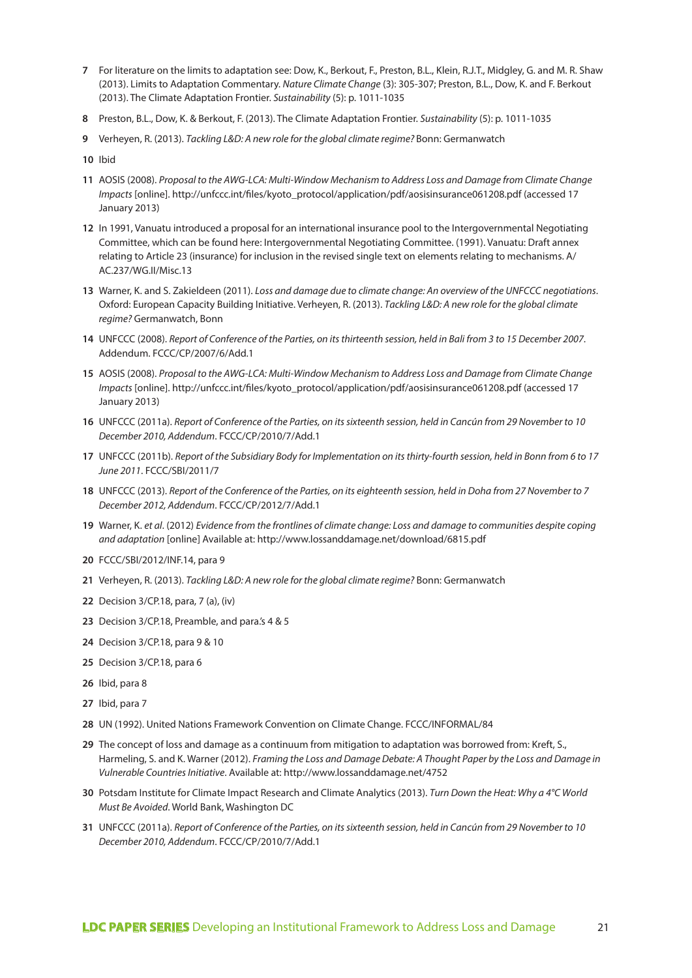- **7** For literature on the limits to adaptation see: Dow, K., Berkout, F., Preston, B.L., Klein, R.J.T., Midgley, G. and M. R. Shaw (2013). Limits to Adaptation Commentary. *Nature Climate Change* (3): 305-307; Preston, B.L., Dow, K. and F. Berkout (2013). The Climate Adaptation Frontier. *Sustainability* (5): p. 1011-1035
- **8** Preston, B.L., Dow, K. & Berkout, F. (2013). The Climate Adaptation Frontier. *Sustainability* (5): p. 1011-1035
- **9** Verheyen, R. (2013). *Tackling L&D: A new role for the global climate regime?* Bonn: Germanwatch
- **10** Ibid
- **11** AOSIS (2008). *Proposal to the AWG-LCA: Multi-Window Mechanism to Address Loss and Damage from Climate Change Impacts* [online]. http://unfccc.int/files/kyoto\_protocol/application/pdf/aosisinsurance061208.pdf (accessed 17 January 2013)
- **12** In 1991, Vanuatu introduced a proposal for an international insurance pool to the Intergovernmental Negotiating Committee, which can be found here: Intergovernmental Negotiating Committee. (1991). Vanuatu: Draft annex relating to Article 23 (insurance) for inclusion in the revised single text on elements relating to mechanisms. A/ AC.237/WG.II/Misc.13
- **13** Warner, K. and S. Zakieldeen (2011). *Loss and damage due to climate change: An overview of the UNFCCC negotiations*. Oxford: European Capacity Building Initiative. Verheyen, R. (2013). *Tackling L&D: A new role for the global climate regime?* Germanwatch, Bonn
- **14** UNFCCC (2008). *Report of Conference of the Parties, on its thirteenth session, held in Bali from 3 to 15 December 2007*. Addendum. FCCC/CP/2007/6/Add.1
- **15** AOSIS (2008). *Proposal to the AWG-LCA: Multi-Window Mechanism to Address Loss and Damage from Climate Change Impacts* [online]. http://unfccc.int/files/kyoto\_protocol/application/pdf/aosisinsurance061208.pdf (accessed 17 January 2013)
- **16** UNFCCC (2011a). *Report of Conference of the Parties, on its sixteenth session, held in Cancún from 29 November to 10 December 2010, Addendum*. FCCC/CP/2010/7/Add.1
- **17** UNFCCC (2011b). *Report of the Subsidiary Body for Implementation on its thirty-fourth session, held in Bonn from 6 to 17 June 2011*. FCCC/SBI/2011/7
- **18** UNFCCC (2013). *Report of the Conference of the Parties, on its eighteenth session, held in Doha from 27 November to 7 December 2012, Addendum*. FCCC/CP/2012/7/Add.1
- **19** Warner, K. *et al*. (2012) *Evidence from the frontlines of climate change: Loss and damage to communities despite coping and adaptation* [online] Available at: http://www.lossanddamage.net/download/6815.pdf
- **20** FCCC/SBI/2012/INF.14, para 9
- **21** Verheyen, R. (2013). *Tackling L&D: A new role for the global climate regime?* Bonn: Germanwatch
- **22** Decision 3/CP.18, para, 7 (a), (iv)
- **23** Decision 3/CP.18, Preamble, and para.'s 4 & 5
- **24** Decision 3/CP.18, para 9 & 10
- **25** Decision 3/CP.18, para 6
- **26** Ibid, para 8
- **27** Ibid, para 7
- **28** UN (1992). United Nations Framework Convention on Climate Change. FCCC/INFORMAL/84
- **29** The concept of loss and damage as a continuum from mitigation to adaptation was borrowed from: Kreft, S., Harmeling, S. and K. Warner (2012). *Framing the Loss and Damage Debate: A Thought Paper by the Loss and Damage in Vulnerable Countries Initiative*. Available at: http://www.lossanddamage.net/4752
- **30** Potsdam Institute for Climate Impact Research and Climate Analytics (2013). *Turn Down the Heat: Why a 4°C World Must Be Avoided*. World Bank, Washington DC
- **31** UNFCCC (2011a). *Report of Conference of the Parties, on its sixteenth session, held in Cancún from 29 November to 10 December 2010, Addendum*. FCCC/CP/2010/7/Add.1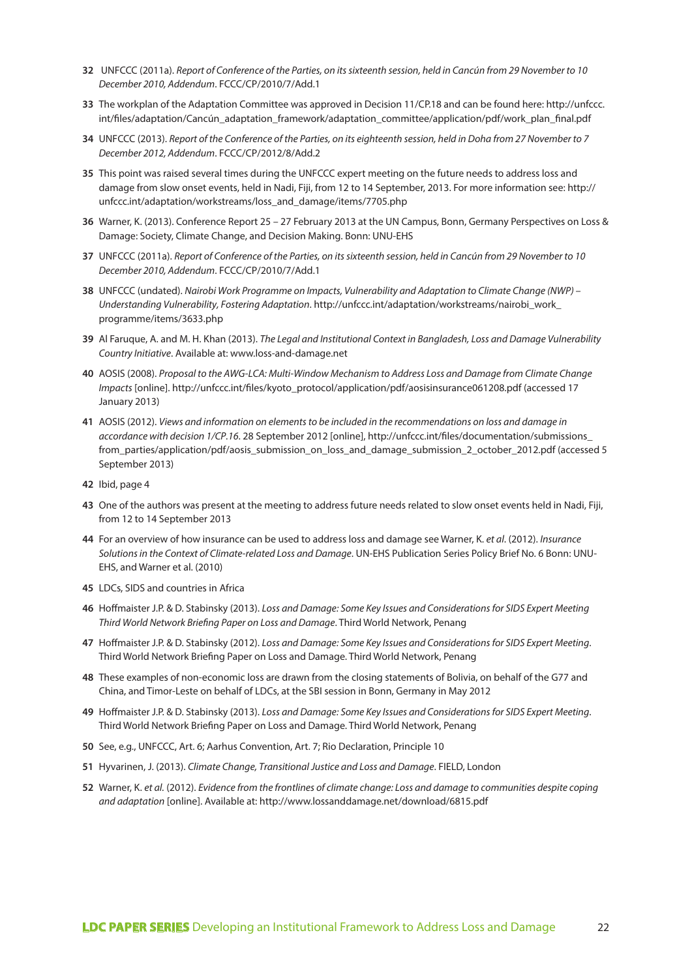- **32** UNFCCC (2011a). *Report of Conference of the Parties, on its sixteenth session, held in Cancún from 29 November to 10 December 2010, Addendum*. FCCC/CP/2010/7/Add.1
- **33** The workplan of the Adaptation Committee was approved in Decision 11/CP.18 and can be found here: http://unfccc. int/files/adaptation/Cancún\_adaptation\_framework/adaptation\_committee/application/pdf/work\_plan\_final.pdf
- **34** UNFCCC (2013). *Report of the Conference of the Parties, on its eighteenth session, held in Doha from 27 November to 7 December 2012, Addendum*. FCCC/CP/2012/8/Add.2
- **35** This point was raised several times during the UNFCCC expert meeting on the future needs to address loss and damage from slow onset events, held in Nadi, Fiji, from 12 to 14 September, 2013. For more information see: http:// unfccc.int/adaptation/workstreams/loss\_and\_damage/items/7705.php
- **36** Warner, K. (2013). Conference Report 25 27 February 2013 at the UN Campus, Bonn, Germany Perspectives on Loss & Damage: Society, Climate Change, and Decision Making. Bonn: UNU-EHS
- **37** UNFCCC (2011a). *Report of Conference of the Parties, on its sixteenth session, held in Cancún from 29 November to 10 December 2010, Addendum*. FCCC/CP/2010/7/Add.1
- **38** UNFCCC (undated). *Nairobi Work Programme on Impacts, Vulnerability and Adaptation to Climate Change (NWP) Understanding Vulnerability, Fostering Adaptation*. http://unfccc.int/adaptation/workstreams/nairobi\_work\_ programme/items/3633.php
- **39** Al Faruque, A. and M. H. Khan (2013). *The Legal and Institutional Context in Bangladesh, Loss and Damage Vulnerability Country Initiative*. Available at: www.loss-and-damage.net
- **40** AOSIS (2008). *Proposal to the AWG-LCA: Multi-Window Mechanism to Address Loss and Damage from Climate Change Impacts* [online]. http://unfccc.int/files/kyoto\_protocol/application/pdf/aosisinsurance061208.pdf (accessed 17 January 2013)
- **41** AOSIS (2012). *Views and information on elements to be included in the recommendations on loss and damage in accordance with decision 1/CP.16*. 28 September 2012 [online], http://unfccc.int/files/documentation/submissions\_ from\_parties/application/pdf/aosis\_submission\_on\_loss\_and\_damage\_submission\_2\_october\_2012.pdf (accessed 5 September 2013)
- **42** Ibid, page 4
- **43** One of the authors was present at the meeting to address future needs related to slow onset events held in Nadi, Fiji, from 12 to 14 September 2013
- **44** For an overview of how insurance can be used to address loss and damage see Warner, K. *et al*. (2012). *Insurance Solutions in the Context of Climate-related Loss and Damage*. UN-EHS Publication Series Policy Brief No. 6 Bonn: UNU-EHS, and Warner et al. (2010)
- **45** LDCs, SIDS and countries in Africa
- **46** Hoffmaister J.P. & D. Stabinsky (2013). *Loss and Damage: Some Key Issues and Considerations for SIDS Expert Meeting Third World Network Briefing Paper on Loss and Damage*. Third World Network, Penang
- **47** Hoffmaister J.P. & D. Stabinsky (2012). *Loss and Damage: Some Key Issues and Considerations for SIDS Expert Meeting*. Third World Network Briefing Paper on Loss and Damage. Third World Network, Penang
- **48** These examples of non-economic loss are drawn from the closing statements of Bolivia, on behalf of the G77 and China, and Timor-Leste on behalf of LDCs, at the SBI session in Bonn, Germany in May 2012
- **49** Hoffmaister J.P. & D. Stabinsky (2013). *Loss and Damage: Some Key Issues and Considerations for SIDS Expert Meeting*. Third World Network Briefing Paper on Loss and Damage. Third World Network, Penang
- **50** See, e.g., UNFCCC, Art. 6; Aarhus Convention, Art. 7; Rio Declaration, Principle 10
- **51** Hyvarinen, J. (2013). *Climate Change, Transitional Justice and Loss and Damage*. FIELD, London
- **52** Warner, K. *et al.* (2012). *Evidence from the frontlines of climate change: Loss and damage to communities despite coping and adaptation* [online]. Available at: http://www.lossanddamage.net/download/6815.pdf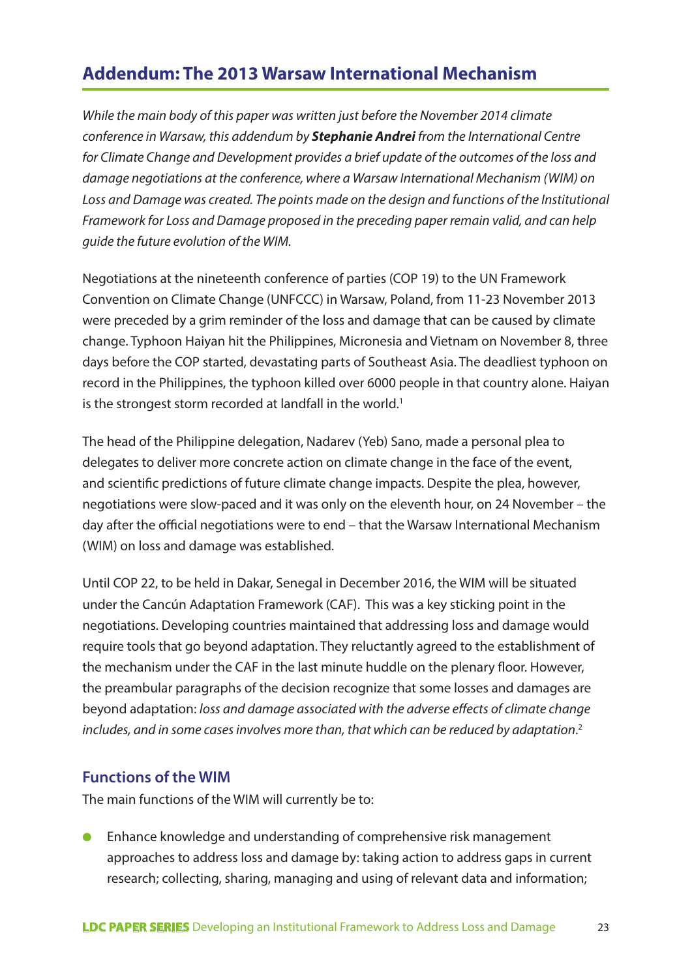# **Addendum: The 2013 Warsaw International Mechanism**

*While the main body of this paper was written just before the November 2014 climate conference in Warsaw, this addendum by Stephanie Andrei from the International Centre for Climate Change and Development provides a brief update of the outcomes of the loss and damage negotiations at the conference, where a Warsaw International Mechanism (WIM) on Loss and Damage was created. The points made on the design and functions of the Institutional Framework for Loss and Damage proposed in the preceding paper remain valid, and can help guide the future evolution of the WIM.* 

Negotiations at the nineteenth conference of parties (COP 19) to the UN Framework Convention on Climate Change (UNFCCC) in Warsaw, Poland, from 11-23 November 2013 were preceded by a grim reminder of the loss and damage that can be caused by climate change. Typhoon Haiyan hit the Philippines, Micronesia and Vietnam on November 8, three days before the COP started, devastating parts of Southeast Asia. The deadliest typhoon on record in the Philippines, the typhoon killed over 6000 people in that country alone. Haiyan is the strongest storm recorded at landfall in the world.<sup>1</sup>

The head of the Philippine delegation, Nadarev (Yeb) Sano, made a personal plea to delegates to deliver more concrete action on climate change in the face of the event, and scientific predictions of future climate change impacts. Despite the plea, however, negotiations were slow-paced and it was only on the eleventh hour, on 24 November – the day after the official negotiations were to end – that the Warsaw International Mechanism (WIM) on loss and damage was established.

Until COP 22, to be held in Dakar, Senegal in December 2016, the WIM will be situated under the Cancún Adaptation Framework (CAF). This was a key sticking point in the negotiations. Developing countries maintained that addressing loss and damage would require tools that go beyond adaptation. They reluctantly agreed to the establishment of the mechanism under the CAF in the last minute huddle on the plenary floor. However, the preambular paragraphs of the decision recognize that some losses and damages are beyond adaptation: *loss and damage associated with the adverse effects of climate change includes, and in some cases involves more than, that which can be reduced by adaptation*. 2

#### **Functions of the WIM**

The main functions of the WIM will currently be to:

● Enhance knowledge and understanding of comprehensive risk management approaches to address loss and damage by: taking action to address gaps in current research; collecting, sharing, managing and using of relevant data and information;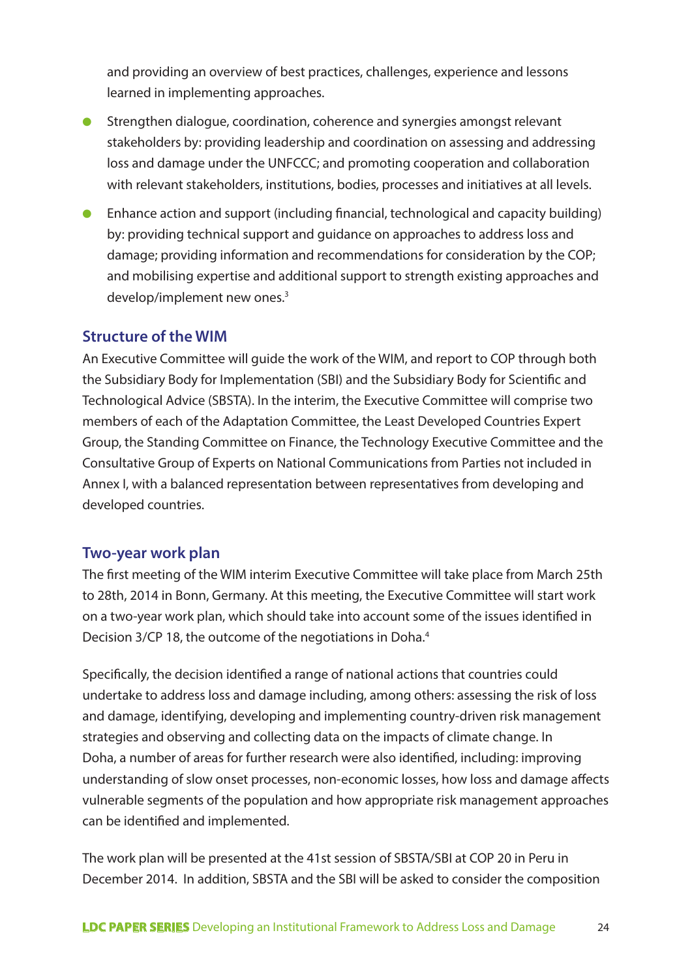and providing an overview of best practices, challenges, experience and lessons learned in implementing approaches.

- Strengthen dialogue, coordination, coherence and synergies amongst relevant stakeholders by: providing leadership and coordination on assessing and addressing loss and damage under the UNFCCC; and promoting cooperation and collaboration with relevant stakeholders, institutions, bodies, processes and initiatives at all levels.
- Enhance action and support (including financial, technological and capacity building) by: providing technical support and guidance on approaches to address loss and damage; providing information and recommendations for consideration by the COP; and mobilising expertise and additional support to strength existing approaches and develop/implement new ones.<sup>3</sup>

#### **Structure of the WIM**

An Executive Committee will guide the work of the WIM, and report to COP through both the Subsidiary Body for Implementation (SBI) and the Subsidiary Body for Scientific and Technological Advice (SBSTA). In the interim, the Executive Committee will comprise two members of each of the Adaptation Committee, the Least Developed Countries Expert Group, the Standing Committee on Finance, the Technology Executive Committee and the Consultative Group of Experts on National Communications from Parties not included in Annex I, with a balanced representation between representatives from developing and developed countries.

#### **Two-year work plan**

The first meeting of the WIM interim Executive Committee will take place from March 25th to 28th, 2014 in Bonn, Germany. At this meeting, the Executive Committee will start work on a two-year work plan, which should take into account some of the issues identified in Decision 3/CP 18, the outcome of the negotiations in Doha.<sup>4</sup>

Specifically, the decision identified a range of national actions that countries could undertake to address loss and damage including, among others: assessing the risk of loss and damage, identifying, developing and implementing country-driven risk management strategies and observing and collecting data on the impacts of climate change. In Doha, a number of areas for further research were also identified, including: improving understanding of slow onset processes, non-economic losses, how loss and damage affects vulnerable segments of the population and how appropriate risk management approaches can be identified and implemented.

The work plan will be presented at the 41st session of SBSTA/SBI at COP 20 in Peru in December 2014. In addition, SBSTA and the SBI will be asked to consider the composition